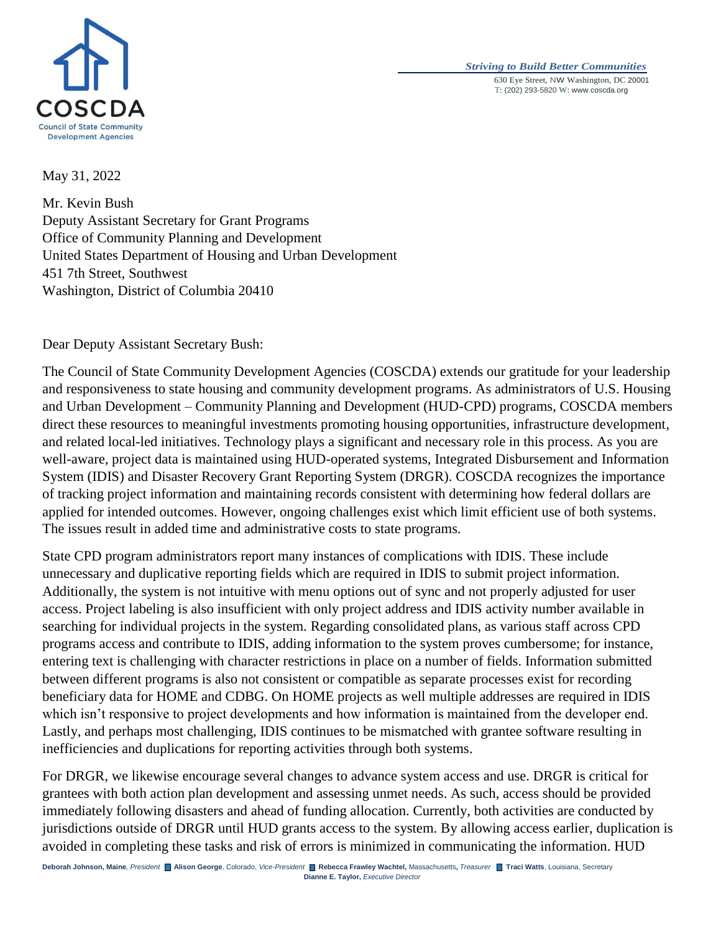



May 31, 2022

Mr. Kevin Bush Deputy Assistant Secretary for Grant Programs Office of Community Planning and Development United States Department of Housing and Urban Development 451 7th Street, Southwest Washington, District of Columbia 20410

Dear Deputy Assistant Secretary Bush:

The Council of State Community Development Agencies (COSCDA) extends our gratitude for your leadership and responsiveness to state housing and community development programs. As administrators of U.S. Housing and Urban Development – Community Planning and Development (HUD-CPD) programs, COSCDA members direct these resources to meaningful investments promoting housing opportunities, infrastructure development, and related local-led initiatives. Technology plays a significant and necessary role in this process. As you are well-aware, project data is maintained using HUD-operated systems, Integrated Disbursement and Information System (IDIS) and Disaster Recovery Grant Reporting System (DRGR). COSCDA recognizes the importance of tracking project information and maintaining records consistent with determining how federal dollars are applied for intended outcomes. However, ongoing challenges exist which limit efficient use of both systems. The issues result in added time and administrative costs to state programs.

State CPD program administrators report many instances of complications with IDIS. These include unnecessary and duplicative reporting fields which are required in IDIS to submit project information. Additionally, the system is not intuitive with menu options out of sync and not properly adjusted for user access. Project labeling is also insufficient with only project address and IDIS activity number available in searching for individual projects in the system. Regarding consolidated plans, as various staff across CPD programs access and contribute to IDIS, adding information to the system proves cumbersome; for instance, entering text is challenging with character restrictions in place on a number of fields. Information submitted between different programs is also not consistent or compatible as separate processes exist for recording beneficiary data for HOME and CDBG. On HOME projects as well multiple addresses are required in IDIS which isn't responsive to project developments and how information is maintained from the developer end. Lastly, and perhaps most challenging, IDIS continues to be mismatched with grantee software resulting in inefficiencies and duplications for reporting activities through both systems.

For DRGR, we likewise encourage several changes to advance system access and use. DRGR is critical for grantees with both action plan development and assessing unmet needs. As such, access should be provided immediately following disasters and ahead of funding allocation. Currently, both activities are conducted by jurisdictions outside of DRGR until HUD grants access to the system. By allowing access earlier, duplication is avoided in completing these tasks and risk of errors is minimized in communicating the information. HUD